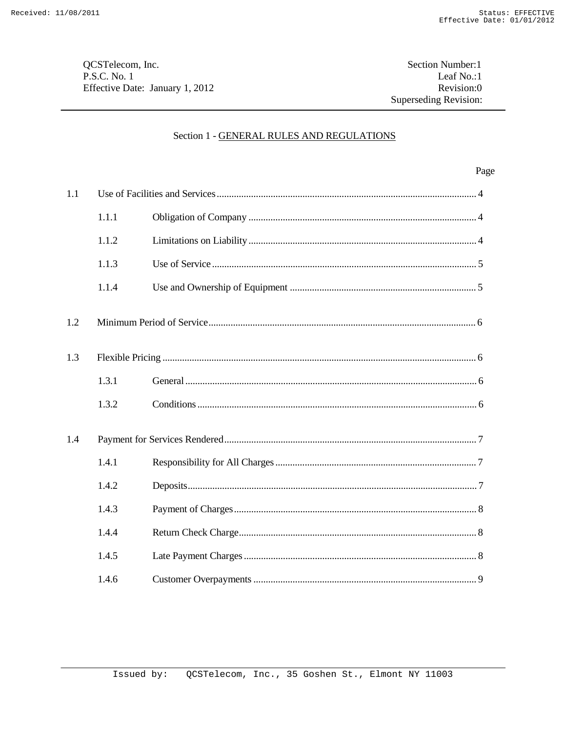QCSTelecom, Inc. P.S.C. No. 1 Effective Date: January 1, 2012

Section Number:1 Leaf No.:1 Revision:0 Superseding Revision:

## Section 1 - GENERAL RULES AND REGULATIONS

|     |       |  | Page |
|-----|-------|--|------|
| 1.1 |       |  |      |
|     | 1.1.1 |  |      |
|     | 1.1.2 |  |      |
|     | 1.1.3 |  |      |
|     | 1.1.4 |  |      |
| 1.2 |       |  |      |
| 1.3 |       |  |      |
|     | 1.3.1 |  |      |
|     | 1.3.2 |  |      |
| 1.4 |       |  |      |
|     | 1.4.1 |  |      |
|     | 1.4.2 |  |      |
|     | 1.4.3 |  |      |
|     | 1.4.4 |  |      |
|     | 1.4.5 |  |      |
|     | 1.4.6 |  |      |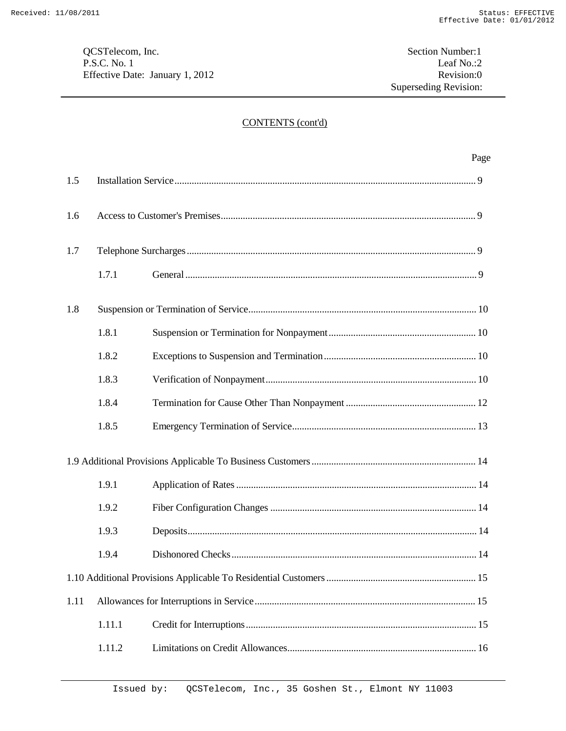QCSTelecom, Inc.<br>
P.S.C. No. 1 Leaf No.:2 P.S.C. No. 1 Leaf No.:2 Leaf No.:2 Leaf No.:2 Revision:0 Effective Date: January 1, 2012

# CONTENTS (cont'd)

|      |        |  | Page |
|------|--------|--|------|
| 1.5  |        |  |      |
| 1.6  |        |  |      |
| 1.7  |        |  |      |
|      | 1.7.1  |  |      |
| 1.8  |        |  |      |
|      | 1.8.1  |  |      |
|      | 1.8.2  |  |      |
|      | 1.8.3  |  |      |
|      | 1.8.4  |  |      |
|      | 1.8.5  |  |      |
|      |        |  |      |
|      | 1.9.1  |  |      |
|      | 1.9.2  |  |      |
|      | 1.9.3  |  |      |
|      | 1.9.4  |  |      |
|      |        |  |      |
| 1.11 |        |  |      |
|      | 1.11.1 |  |      |
|      | 1.11.2 |  |      |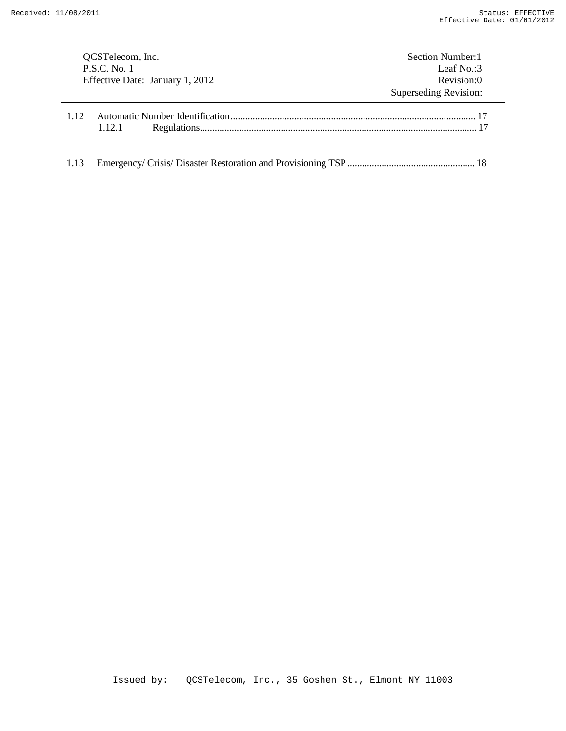| QCSTelecom, Inc.<br>P.S.C. No. 1<br>Effective Date: January 1, 2012 |        | Section Number: 1<br>Leaf $No. : 3$<br>Revision:0 |  |       |  |                       |
|---------------------------------------------------------------------|--------|---------------------------------------------------|--|-------|--|-----------------------|
|                                                                     |        |                                                   |  |       |  | Superseding Revision: |
|                                                                     |        |                                                   |  | 1 1 2 |  |                       |
|                                                                     | 1.12.1 |                                                   |  |       |  |                       |
|                                                                     |        |                                                   |  |       |  |                       |
| 1.13                                                                |        |                                                   |  |       |  |                       |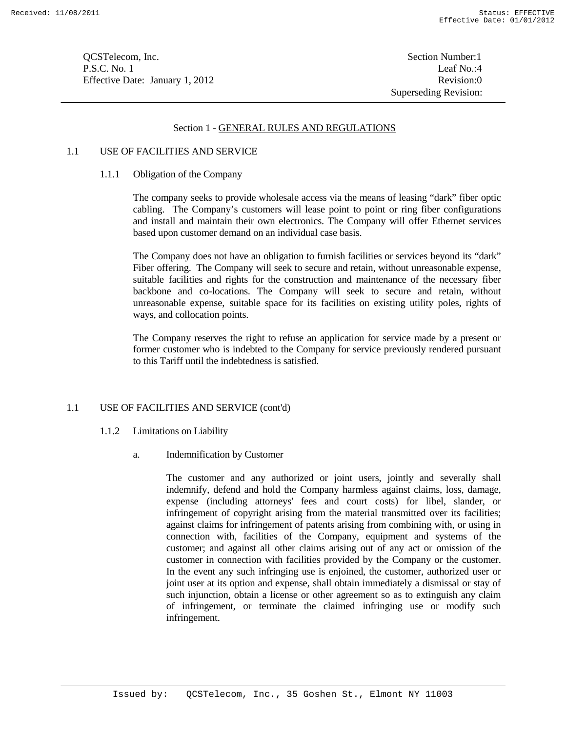**OCSTelecom, Inc.** Section Number:1 P.S.C. No. 1 Leaf No.:4 Effective Date: January 1, 2012 Revision:0

#### Section 1 - GENERAL RULES AND REGULATIONS

## 1.1 USE OF FACILITIES AND SERVICE

#### 1.1.1 Obligation of the Company

The company seeks to provide wholesale access via the means of leasing "dark" fiber optic cabling. The Company's customers will lease point to point or ring fiber configurations and install and maintain their own electronics. The Company will offer Ethernet services based upon customer demand on an individual case basis.

The Company does not have an obligation to furnish facilities or services beyond its "dark" Fiber offering. The Company will seek to secure and retain, without unreasonable expense, suitable facilities and rights for the construction and maintenance of the necessary fiber backbone and co-locations. The Company will seek to secure and retain, without unreasonable expense, suitable space for its facilities on existing utility poles, rights of ways, and collocation points.

The Company reserves the right to refuse an application for service made by a present or former customer who is indebted to the Company for service previously rendered pursuant to this Tariff until the indebtedness is satisfied.

## 1.1 USE OF FACILITIES AND SERVICE (cont'd)

- 1.1.2 Limitations on Liability
	- a. Indemnification by Customer

The customer and any authorized or joint users, jointly and severally shall indemnify, defend and hold the Company harmless against claims, loss, damage, expense (including attorneys' fees and court costs) for libel, slander, or infringement of copyright arising from the material transmitted over its facilities; against claims for infringement of patents arising from combining with, or using in connection with, facilities of the Company, equipment and systems of the customer; and against all other claims arising out of any act or omission of the customer in connection with facilities provided by the Company or the customer. In the event any such infringing use is enjoined, the customer, authorized user or joint user at its option and expense, shall obtain immediately a dismissal or stay of such injunction, obtain a license or other agreement so as to extinguish any claim of infringement, or terminate the claimed infringing use or modify such infringement.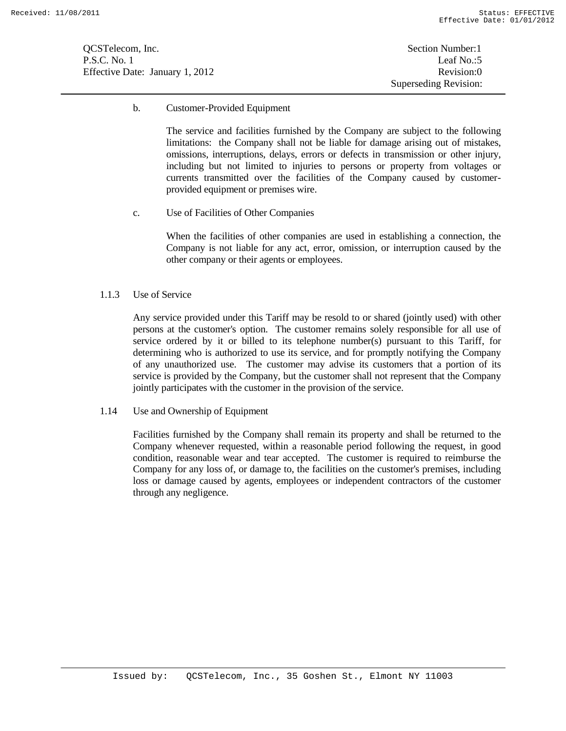QCSTelecom, Inc. Section Number:1 P.S.C. No. 1 Leaf No.:5 Effective Date: January 1, 2012 Revision:0

b. Customer-Provided Equipment

The service and facilities furnished by the Company are subject to the following limitations: the Company shall not be liable for damage arising out of mistakes, omissions, interruptions, delays, errors or defects in transmission or other injury, including but not limited to injuries to persons or property from voltages or currents transmitted over the facilities of the Company caused by customerprovided equipment or premises wire.

c. Use of Facilities of Other Companies

When the facilities of other companies are used in establishing a connection, the Company is not liable for any act, error, omission, or interruption caused by the other company or their agents or employees.

## 1.1.3 Use of Service

Any service provided under this Tariff may be resold to or shared (jointly used) with other persons at the customer's option. The customer remains solely responsible for all use of service ordered by it or billed to its telephone number(s) pursuant to this Tariff, for determining who is authorized to use its service, and for promptly notifying the Company of any unauthorized use. The customer may advise its customers that a portion of its service is provided by the Company, but the customer shall not represent that the Company jointly participates with the customer in the provision of the service.

1.14 Use and Ownership of Equipment

Facilities furnished by the Company shall remain its property and shall be returned to the Company whenever requested, within a reasonable period following the request, in good condition, reasonable wear and tear accepted. The customer is required to reimburse the Company for any loss of, or damage to, the facilities on the customer's premises, including loss or damage caused by agents, employees or independent contractors of the customer through any negligence.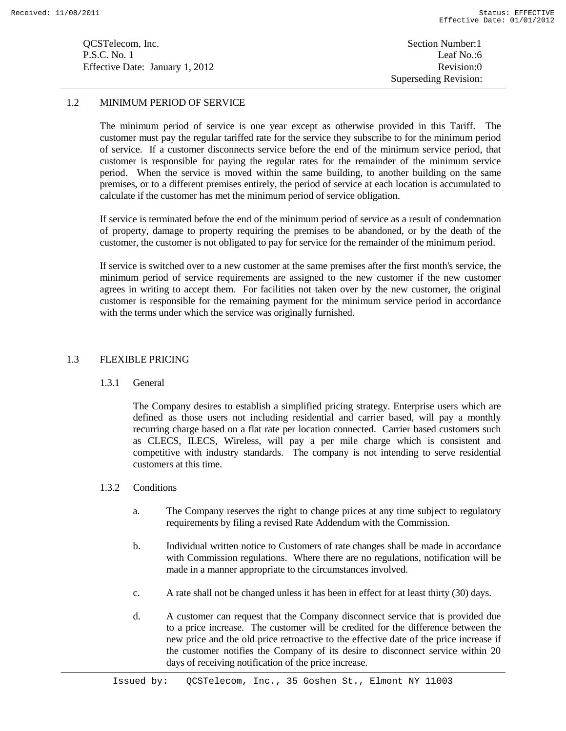**OCSTelecom, Inc.** Section Number:1 P.S.C. No. 1 Leaf No.:6 Effective Date: January 1, 2012 Revision:0

Superseding Revision:

## 1.2 MINIMUM PERIOD OF SERVICE

The minimum period of service is one year except as otherwise provided in this Tariff. The customer must pay the regular tariffed rate for the service they subscribe to for the minimum period of service. If a customer disconnects service before the end of the minimum service period, that customer is responsible for paying the regular rates for the remainder of the minimum service period. When the service is moved within the same building, to another building on the same premises, or to a different premises entirely, the period of service at each location is accumulated to calculate if the customer has met the minimum period of service obligation.

If service is terminated before the end of the minimum period of service as a result of condemnation of property, damage to property requiring the premises to be abandoned, or by the death of the customer, the customer is not obligated to pay for service for the remainder of the minimum period.

If service is switched over to a new customer at the same premises after the first month's service, the minimum period of service requirements are assigned to the new customer if the new customer agrees in writing to accept them. For facilities not taken over by the new customer, the original customer is responsible for the remaining payment for the minimum service period in accordance with the terms under which the service was originally furnished.

#### 1.3 FLEXIBLE PRICING

1.3.1 General

The Company desires to establish a simplified pricing strategy. Enterprise users which are defined as those users not including residential and carrier based, will pay a monthly recurring charge based on a flat rate per location connected. Carrier based customers such as CLECS, ILECS, Wireless, will pay a per mile charge which is consistent and competitive with industry standards. The company is not intending to serve residential customers at this time.

- 1.3.2 Conditions
	- a. The Company reserves the right to change prices at any time subject to regulatory requirements by filing a revised Rate Addendum with the Commission.
	- b. Individual written notice to Customers of rate changes shall be made in accordance with Commission regulations. Where there are no regulations, notification will be made in a manner appropriate to the circumstances involved.
	- c. A rate shall not be changed unless it has been in effect for at least thirty (30) days.
	- d. A customer can request that the Company disconnect service that is provided due to a price increase. The customer will be credited for the difference between the new price and the old price retroactive to the effective date of the price increase if the customer notifies the Company of its desire to disconnect service within 20 days of receiving notification of the price increase.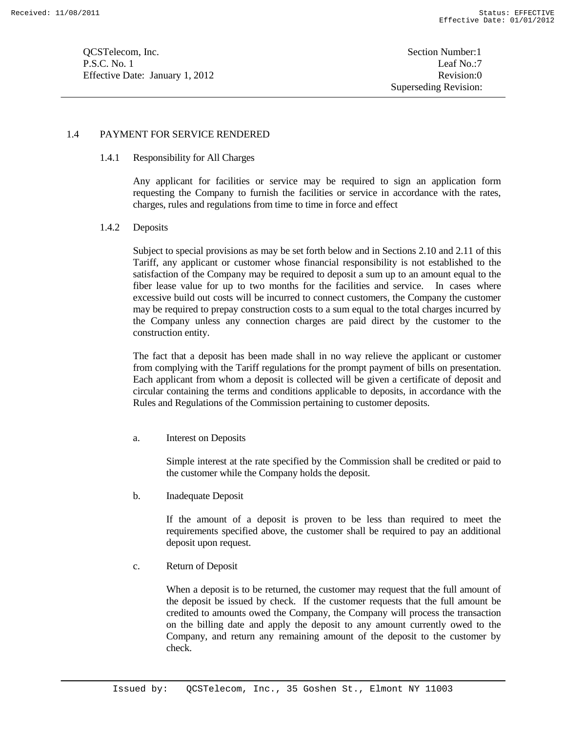**OCSTelecom, Inc.** Section Number: 1 P.S.C. No. 1 Leaf No.:7 Effective Date: January 1, 2012 Revision:0

## 1.4 PAYMENT FOR SERVICE RENDERED

## 1.4.1 Responsibility for All Charges

Any applicant for facilities or service may be required to sign an application form requesting the Company to furnish the facilities or service in accordance with the rates, charges, rules and regulations from time to time in force and effect

#### 1.4.2 Deposits

Subject to special provisions as may be set forth below and in Sections 2.10 and 2.11 of this Tariff, any applicant or customer whose financial responsibility is not established to the satisfaction of the Company may be required to deposit a sum up to an amount equal to the fiber lease value for up to two months for the facilities and service. In cases where excessive build out costs will be incurred to connect customers, the Company the customer may be required to prepay construction costs to a sum equal to the total charges incurred by the Company unless any connection charges are paid direct by the customer to the construction entity.

The fact that a deposit has been made shall in no way relieve the applicant or customer from complying with the Tariff regulations for the prompt payment of bills on presentation. Each applicant from whom a deposit is collected will be given a certificate of deposit and circular containing the terms and conditions applicable to deposits, in accordance with the Rules and Regulations of the Commission pertaining to customer deposits.

a. Interest on Deposits

Simple interest at the rate specified by the Commission shall be credited or paid to the customer while the Company holds the deposit.

b. Inadequate Deposit

If the amount of a deposit is proven to be less than required to meet the requirements specified above, the customer shall be required to pay an additional deposit upon request.

c. Return of Deposit

When a deposit is to be returned, the customer may request that the full amount of the deposit be issued by check. If the customer requests that the full amount be credited to amounts owed the Company, the Company will process the transaction on the billing date and apply the deposit to any amount currently owed to the Company, and return any remaining amount of the deposit to the customer by check.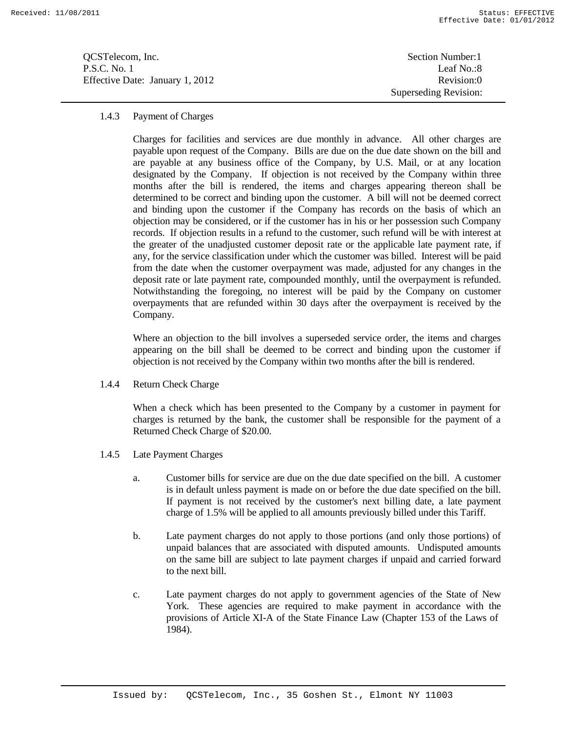**OCSTelecom, Inc.** Section Number:1 P.S.C. No. 1 Leaf No.:8 Effective Date: January 1, 2012 Revision:0

Superseding Revision:

#### 1.4.3 Payment of Charges

Charges for facilities and services are due monthly in advance. All other charges are payable upon request of the Company. Bills are due on the due date shown on the bill and are payable at any business office of the Company, by U.S. Mail, or at any location designated by the Company. If objection is not received by the Company within three months after the bill is rendered, the items and charges appearing thereon shall be determined to be correct and binding upon the customer. A bill will not be deemed correct and binding upon the customer if the Company has records on the basis of which an objection may be considered, or if the customer has in his or her possession such Company records. If objection results in a refund to the customer, such refund will be with interest at the greater of the unadjusted customer deposit rate or the applicable late payment rate, if any, for the service classification under which the customer was billed. Interest will be paid from the date when the customer overpayment was made, adjusted for any changes in the deposit rate or late payment rate, compounded monthly, until the overpayment is refunded. Notwithstanding the foregoing, no interest will be paid by the Company on customer overpayments that are refunded within 30 days after the overpayment is received by the Company.

Where an objection to the bill involves a superseded service order, the items and charges appearing on the bill shall be deemed to be correct and binding upon the customer if objection is not received by the Company within two months after the bill is rendered.

1.4.4 Return Check Charge

When a check which has been presented to the Company by a customer in payment for charges is returned by the bank, the customer shall be responsible for the payment of a Returned Check Charge of \$20.00.

- 1.4.5 Late Payment Charges
	- a. Customer bills for service are due on the due date specified on the bill. A customer is in default unless payment is made on or before the due date specified on the bill. If payment is not received by the customer's next billing date, a late payment charge of 1.5% will be applied to all amounts previously billed under this Tariff.
	- b. Late payment charges do not apply to those portions (and only those portions) of unpaid balances that are associated with disputed amounts. Undisputed amounts on the same bill are subject to late payment charges if unpaid and carried forward to the next bill.
	- c. Late payment charges do not apply to government agencies of the State of New York. These agencies are required to make payment in accordance with the provisions of Article XI-A of the State Finance Law (Chapter 153 of the Laws of 1984).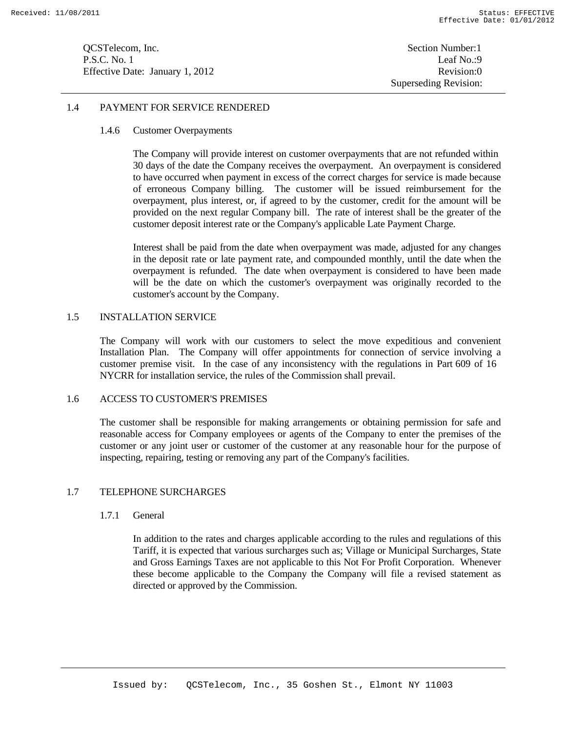**OCSTelecom, Inc.** Section Number: 1 P.S.C. No. 1 Leaf No.:9 Effective Date: January 1, 2012 Revision:0

## 1.4 PAYMENT FOR SERVICE RENDERED

## 1.4.6 Customer Overpayments

The Company will provide interest on customer overpayments that are not refunded within 30 days of the date the Company receives the overpayment. An overpayment is considered to have occurred when payment in excess of the correct charges for service is made because of erroneous Company billing. The customer will be issued reimbursement for the overpayment, plus interest, or, if agreed to by the customer, credit for the amount will be provided on the next regular Company bill. The rate of interest shall be the greater of the customer deposit interest rate or the Company's applicable Late Payment Charge.

Interest shall be paid from the date when overpayment was made, adjusted for any changes in the deposit rate or late payment rate, and compounded monthly, until the date when the overpayment is refunded. The date when overpayment is considered to have been made will be the date on which the customer's overpayment was originally recorded to the customer's account by the Company.

#### 1.5 INSTALLATION SERVICE

The Company will work with our customers to select the move expeditious and convenient Installation Plan. The Company will offer appointments for connection of service involving a customer premise visit. In the case of any inconsistency with the regulations in Part 609 of 16 NYCRR for installation service, the rules of the Commission shall prevail.

## 1.6 ACCESS TO CUSTOMER'S PREMISES

The customer shall be responsible for making arrangements or obtaining permission for safe and reasonable access for Company employees or agents of the Company to enter the premises of the customer or any joint user or customer of the customer at any reasonable hour for the purpose of inspecting, repairing, testing or removing any part of the Company's facilities.

#### 1.7 TELEPHONE SURCHARGES

#### 1.7.1 General

In addition to the rates and charges applicable according to the rules and regulations of this Tariff, it is expected that various surcharges such as; Village or Municipal Surcharges, State and Gross Earnings Taxes are not applicable to this Not For Profit Corporation. Whenever these become applicable to the Company the Company will file a revised statement as directed or approved by the Commission.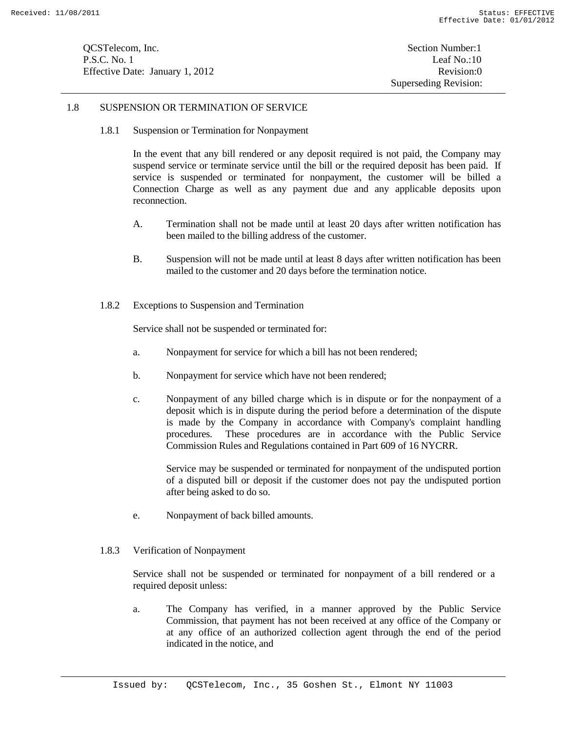**OCSTelecom, Inc.** Section Number: 1 P.S.C. No. 1 Leaf No.:10 Effective Date: January 1, 2012 Revision:0

## 1.8 SUSPENSION OR TERMINATION OF SERVICE

1.8.1 Suspension or Termination for Nonpayment

In the event that any bill rendered or any deposit required is not paid, the Company may suspend service or terminate service until the bill or the required deposit has been paid. If service is suspended or terminated for nonpayment, the customer will be billed a Connection Charge as well as any payment due and any applicable deposits upon reconnection.

- A. Termination shall not be made until at least 20 days after written notification has been mailed to the billing address of the customer.
- B. Suspension will not be made until at least 8 days after written notification has been mailed to the customer and 20 days before the termination notice.
- 1.8.2 Exceptions to Suspension and Termination

Service shall not be suspended or terminated for:

- a. Nonpayment for service for which a bill has not been rendered;
- b. Nonpayment for service which have not been rendered;
- c. Nonpayment of any billed charge which is in dispute or for the nonpayment of a deposit which is in dispute during the period before a determination of the dispute is made by the Company in accordance with Company's complaint handling procedures. These procedures are in accordance with the Public Service Commission Rules and Regulations contained in Part 609 of 16 NYCRR.

Service may be suspended or terminated for nonpayment of the undisputed portion of a disputed bill or deposit if the customer does not pay the undisputed portion after being asked to do so.

- e. Nonpayment of back billed amounts.
- 1.8.3 Verification of Nonpayment

Service shall not be suspended or terminated for nonpayment of a bill rendered or a required deposit unless:

a. The Company has verified, in a manner approved by the Public Service Commission, that payment has not been received at any office of the Company or at any office of an authorized collection agent through the end of the period indicated in the notice, and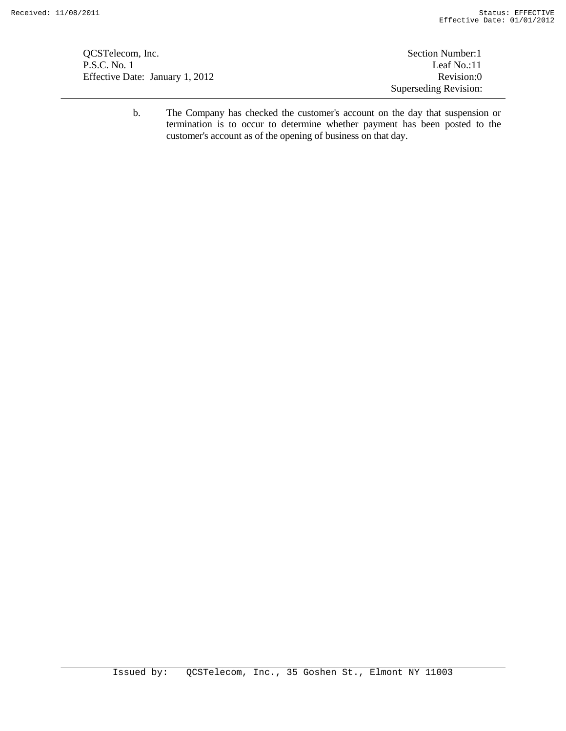QCSTelecom, Inc. Section Number:1 P.S.C. No. 1 Leaf No.:11 Effective Date: January 1, 2012 Revision:0

Superseding Revision:

b. The Company has checked the customer's account on the day that suspension or termination is to occur to determine whether payment has been posted to the customer's account as of the opening of business on that day.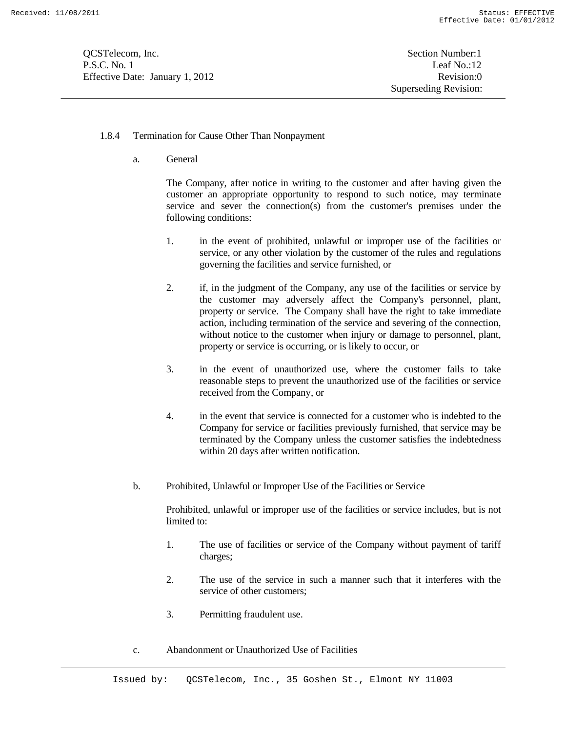**OCSTelecom, Inc.** Section Number: 1 P.S.C. No. 1 Leaf No.:12 Effective Date: January 1, 2012 Revision:0

#### 1.8.4 Termination for Cause Other Than Nonpayment

a. General

The Company, after notice in writing to the customer and after having given the customer an appropriate opportunity to respond to such notice, may terminate service and sever the connection(s) from the customer's premises under the following conditions:

- 1. in the event of prohibited, unlawful or improper use of the facilities or service, or any other violation by the customer of the rules and regulations governing the facilities and service furnished, or
- 2. if, in the judgment of the Company, any use of the facilities or service by the customer may adversely affect the Company's personnel, plant, property or service. The Company shall have the right to take immediate action, including termination of the service and severing of the connection, without notice to the customer when injury or damage to personnel, plant, property or service is occurring, or is likely to occur, or
- 3. in the event of unauthorized use, where the customer fails to take reasonable steps to prevent the unauthorized use of the facilities or service received from the Company, or
- 4. in the event that service is connected for a customer who is indebted to the Company for service or facilities previously furnished, that service may be terminated by the Company unless the customer satisfies the indebtedness within 20 days after written notification.
- b. Prohibited, Unlawful or Improper Use of the Facilities or Service

Prohibited, unlawful or improper use of the facilities or service includes, but is not limited to:

- 1. The use of facilities or service of the Company without payment of tariff charges;
- 2. The use of the service in such a manner such that it interferes with the service of other customers;
- 3. Permitting fraudulent use.
- c. Abandonment or Unauthorized Use of Facilities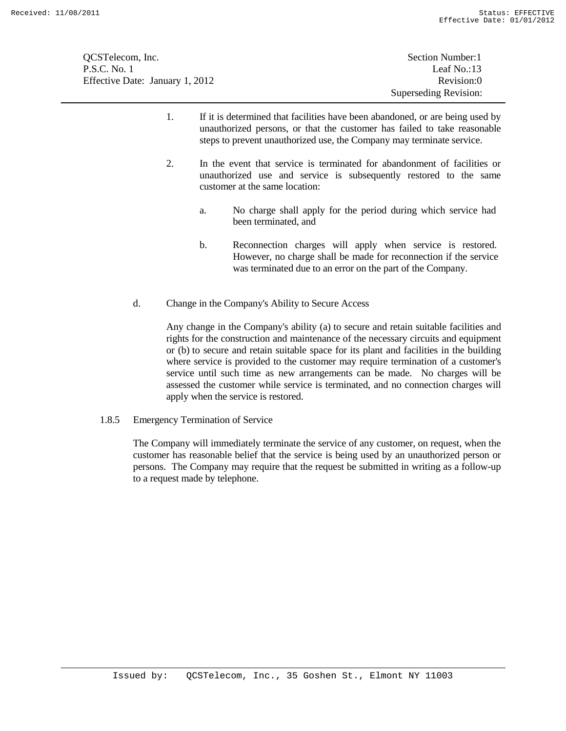| OCSTelecom, Inc.                | Section Number: 1     |
|---------------------------------|-----------------------|
| P.S.C. No. 1                    | Leaf No.:13           |
| Effective Date: January 1, 2012 | Revision:0            |
|                                 | Superseding Revision: |

- 1. If it is determined that facilities have been abandoned, or are being used by unauthorized persons, or that the customer has failed to take reasonable steps to prevent unauthorized use, the Company may terminate service.
- 2. In the event that service is terminated for abandonment of facilities or unauthorized use and service is subsequently restored to the same customer at the same location:
	- a. No charge shall apply for the period during which service had been terminated, and
	- b. Reconnection charges will apply when service is restored. However, no charge shall be made for reconnection if the service was terminated due to an error on the part of the Company.
- d. Change in the Company's Ability to Secure Access

Any change in the Company's ability (a) to secure and retain suitable facilities and rights for the construction and maintenance of the necessary circuits and equipment or (b) to secure and retain suitable space for its plant and facilities in the building where service is provided to the customer may require termination of a customer's service until such time as new arrangements can be made. No charges will be assessed the customer while service is terminated, and no connection charges will apply when the service is restored.

1.8.5 Emergency Termination of Service

The Company will immediately terminate the service of any customer, on request, when the customer has reasonable belief that the service is being used by an unauthorized person or persons. The Company may require that the request be submitted in writing as a follow-up to a request made by telephone.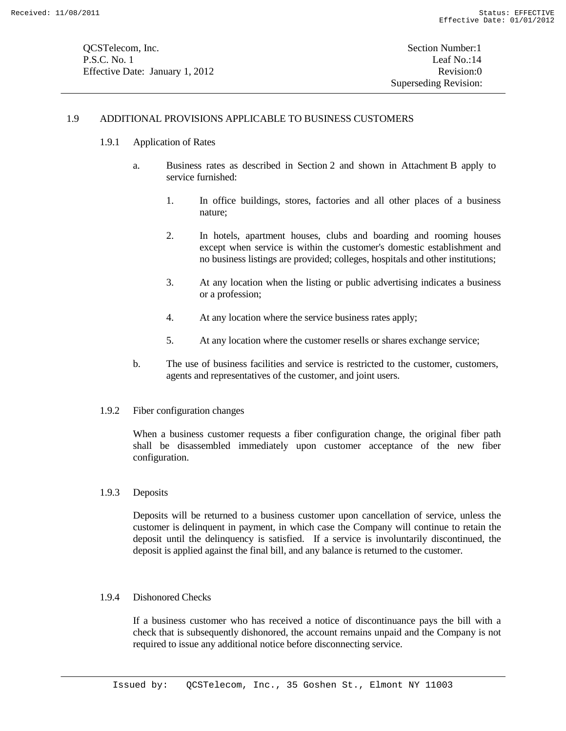#### 1.9 ADDITIONAL PROVISIONS APPLICABLE TO BUSINESS CUSTOMERS

- 1.9.1 Application of Rates
	- a. Business rates as described in Section 2 and shown in Attachment B apply to service furnished:
		- 1. In office buildings, stores, factories and all other places of a business nature;
		- 2. In hotels, apartment houses, clubs and boarding and rooming houses except when service is within the customer's domestic establishment and no business listings are provided; colleges, hospitals and other institutions;
		- 3. At any location when the listing or public advertising indicates a business or a profession;
		- 4. At any location where the service business rates apply;
		- 5. At any location where the customer resells or shares exchange service;
	- b. The use of business facilities and service is restricted to the customer, customers, agents and representatives of the customer, and joint users.
- 1.9.2 Fiber configuration changes

When a business customer requests a fiber configuration change, the original fiber path shall be disassembled immediately upon customer acceptance of the new fiber configuration.

1.9.3 Deposits

Deposits will be returned to a business customer upon cancellation of service, unless the customer is delinquent in payment, in which case the Company will continue to retain the deposit until the delinquency is satisfied. If a service is involuntarily discontinued, the deposit is applied against the final bill, and any balance is returned to the customer.

1.9.4 Dishonored Checks

If a business customer who has received a notice of discontinuance pays the bill with a check that is subsequently dishonored, the account remains unpaid and the Company is not required to issue any additional notice before disconnecting service.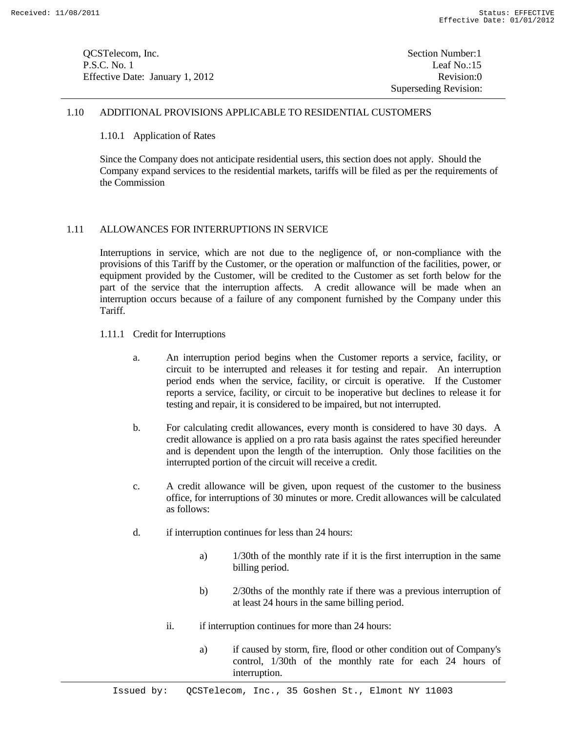| QCSTelecom, Inc.                |  |
|---------------------------------|--|
| P.S.C. No. 1                    |  |
| Effective Date: January 1, 2012 |  |

## 1.10 ADDITIONAL PROVISIONS APPLICABLE TO RESIDENTIAL CUSTOMERS

#### 1.10.1 Application of Rates

Since the Company does not anticipate residential users, this section does not apply. Should the Company expand services to the residential markets, tariffs will be filed as per the requirements of the Commission

## 1.11 ALLOWANCES FOR INTERRUPTIONS IN SERVICE

Interruptions in service, which are not due to the negligence of, or non-compliance with the provisions of this Tariff by the Customer, or the operation or malfunction of the facilities, power, or equipment provided by the Customer, will be credited to the Customer as set forth below for the part of the service that the interruption affects. A credit allowance will be made when an interruption occurs because of a failure of any component furnished by the Company under this Tariff.

- 1.11.1 Credit for Interruptions
	- a. An interruption period begins when the Customer reports a service, facility, or circuit to be interrupted and releases it for testing and repair. An interruption period ends when the service, facility, or circuit is operative. If the Customer reports a service, facility, or circuit to be inoperative but declines to release it for testing and repair, it is considered to be impaired, but not interrupted.
	- b. For calculating credit allowances, every month is considered to have 30 days. A credit allowance is applied on a pro rata basis against the rates specified hereunder and is dependent upon the length of the interruption. Only those facilities on the interrupted portion of the circuit will receive a credit.
	- c. A credit allowance will be given, upon request of the customer to the business office, for interruptions of 30 minutes or more. Credit allowances will be calculated as follows:
	- d. if interruption continues for less than 24 hours:
		- a) 1/30th of the monthly rate if it is the first interruption in the same billing period.
		- b) 2/30ths of the monthly rate if there was a previous interruption of at least 24 hours in the same billing period.
		- ii. if interruption continues for more than 24 hours:
			- a) if caused by storm, fire, flood or other condition out of Company's control, 1/30th of the monthly rate for each 24 hours of interruption.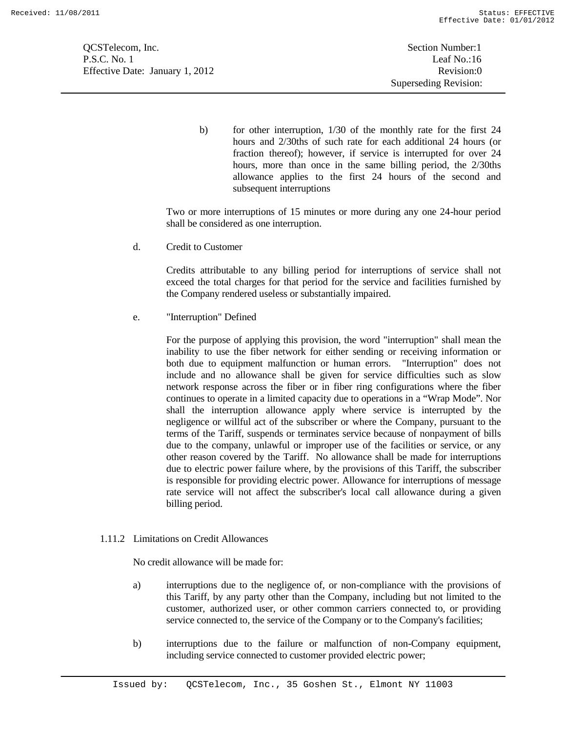QCSTelecom, Inc. Section Number:1 P.S.C. No. 1 Leaf No.:16 Effective Date: January 1, 2012 Revision:0

b) for other interruption, 1/30 of the monthly rate for the first 24 hours and 2/30ths of such rate for each additional 24 hours (or fraction thereof); however, if service is interrupted for over 24 hours, more than once in the same billing period, the 2/30ths allowance applies to the first 24 hours of the second and subsequent interruptions

Two or more interruptions of 15 minutes or more during any one 24-hour period shall be considered as one interruption.

d. Credit to Customer

Credits attributable to any billing period for interruptions of service shall not exceed the total charges for that period for the service and facilities furnished by the Company rendered useless or substantially impaired.

e. "Interruption" Defined

For the purpose of applying this provision, the word "interruption" shall mean the inability to use the fiber network for either sending or receiving information or both due to equipment malfunction or human errors. "Interruption" does not include and no allowance shall be given for service difficulties such as slow network response across the fiber or in fiber ring configurations where the fiber continues to operate in a limited capacity due to operations in a "Wrap Mode". Nor shall the interruption allowance apply where service is interrupted by the negligence or willful act of the subscriber or where the Company, pursuant to the terms of the Tariff, suspends or terminates service because of nonpayment of bills due to the company, unlawful or improper use of the facilities or service, or any other reason covered by the Tariff. No allowance shall be made for interruptions due to electric power failure where, by the provisions of this Tariff, the subscriber is responsible for providing electric power. Allowance for interruptions of message rate service will not affect the subscriber's local call allowance during a given billing period.

1.11.2 Limitations on Credit Allowances

No credit allowance will be made for:

- a) interruptions due to the negligence of, or non-compliance with the provisions of this Tariff, by any party other than the Company, including but not limited to the customer, authorized user, or other common carriers connected to, or providing service connected to, the service of the Company or to the Company's facilities;
- b) interruptions due to the failure or malfunction of non-Company equipment, including service connected to customer provided electric power;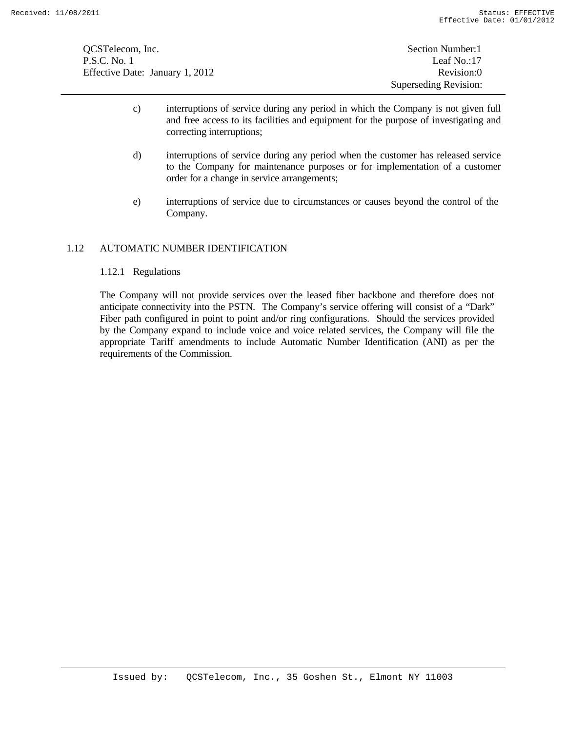QCSTelecom, Inc. Section Number: 1 P.S.C. No. 1 Leaf No.:17 Effective Date: January 1, 2012 Revision:0

- c) interruptions of service during any period in which the Company is not given full and free access to its facilities and equipment for the purpose of investigating and correcting interruptions;
- d) interruptions of service during any period when the customer has released service to the Company for maintenance purposes or for implementation of a customer order for a change in service arrangements;
- e) interruptions of service due to circumstances or causes beyond the control of the Company.

## 1.12 AUTOMATIC NUMBER IDENTIFICATION

## 1.12.1 Regulations

The Company will not provide services over the leased fiber backbone and therefore does not anticipate connectivity into the PSTN. The Company's service offering will consist of a "Dark" Fiber path configured in point to point and/or ring configurations. Should the services provided by the Company expand to include voice and voice related services, the Company will file the appropriate Tariff amendments to include Automatic Number Identification (ANI) as per the requirements of the Commission.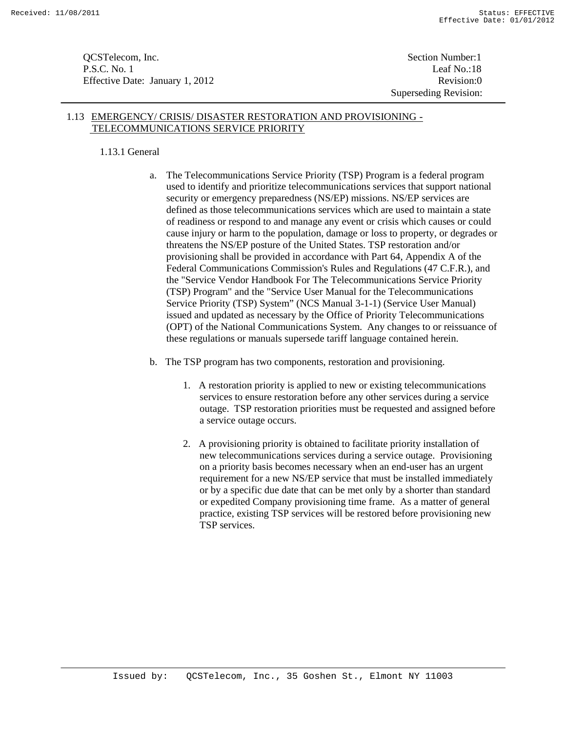**OCSTelecom, Inc.** Section Number: 1 P.S.C. No. 1 Leaf No.:18 Effective Date: January 1, 2012 Revision:0

Superseding Revision:

## 1.13 EMERGENCY/ CRISIS/ DISASTER RESTORATION AND PROVISIONING - TELECOMMUNICATIONS SERVICE PRIORITY

## 1.13.1 General

- a. The Telecommunications Service Priority (TSP) Program is a federal program used to identify and prioritize telecommunications services that support national security or emergency preparedness (NS/EP) missions. NS/EP services are defined as those telecommunications services which are used to maintain a state of readiness or respond to and manage any event or crisis which causes or could cause injury or harm to the population, damage or loss to property, or degrades or threatens the NS/EP posture of the United States. TSP restoration and/or provisioning shall be provided in accordance with Part 64, Appendix A of the Federal Communications Commission's Rules and Regulations (47 C.F.R.), and the "Service Vendor Handbook For The Telecommunications Service Priority (TSP) Program" and the "Service User Manual for the Telecommunications Service Priority (TSP) System" (NCS Manual 3-1-1) (Service User Manual) issued and updated as necessary by the Office of Priority Telecommunications (OPT) of the National Communications System. Any changes to or reissuance of these regulations or manuals supersede tariff language contained herein.
- b. The TSP program has two components, restoration and provisioning.
	- 1. A restoration priority is applied to new or existing telecommunications services to ensure restoration before any other services during a service outage. TSP restoration priorities must be requested and assigned before a service outage occurs.
	- 2. A provisioning priority is obtained to facilitate priority installation of new telecommunications services during a service outage. Provisioning on a priority basis becomes necessary when an end-user has an urgent requirement for a new NS/EP service that must be installed immediately or by a specific due date that can be met only by a shorter than standard or expedited Company provisioning time frame. As a matter of general practice, existing TSP services will be restored before provisioning new TSP services.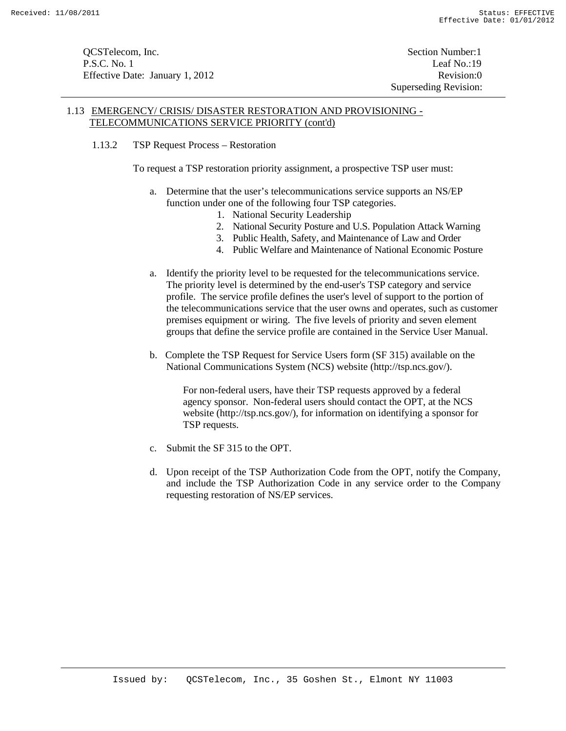**OCSTelecom, Inc.** Section Number: 1 P.S.C. No. 1 Leaf No.:19 Effective Date: January 1, 2012 Revision:0

Superseding Revision:

## 1.13 EMERGENCY/ CRISIS/ DISASTER RESTORATION AND PROVISIONING - TELECOMMUNICATIONS SERVICE PRIORITY (cont'd)

1.13.2 TSP Request Process – Restoration

To request a TSP restoration priority assignment, a prospective TSP user must:

- a. Determine that the user's telecommunications service supports an NS/EP function under one of the following four TSP categories.
	- 1. National Security Leadership
	- 2. National Security Posture and U.S. Population Attack Warning
	- 3. Public Health, Safety, and Maintenance of Law and Order
	- 4. Public Welfare and Maintenance of National Economic Posture
- a. Identify the priority level to be requested for the telecommunications service. The priority level is determined by the end-user's TSP category and service profile. The service profile defines the user's level of support to the portion of the telecommunications service that the user owns and operates, such as customer premises equipment or wiring. The five levels of priority and seven element groups that define the service profile are contained in the Service User Manual.
- b. Complete the TSP Request for Service Users form (SF 315) available on the National Communications System (NCS) website (http://tsp.ncs.gov/).

For non-federal users, have their TSP requests approved by a federal agency sponsor. Non-federal users should contact the OPT, at the NCS website (http://tsp.ncs.gov/), for information on identifying a sponsor for TSP requests.

- c. Submit the SF 315 to the OPT.
- d. Upon receipt of the TSP Authorization Code from the OPT, notify the Company, and include the TSP Authorization Code in any service order to the Company requesting restoration of NS/EP services.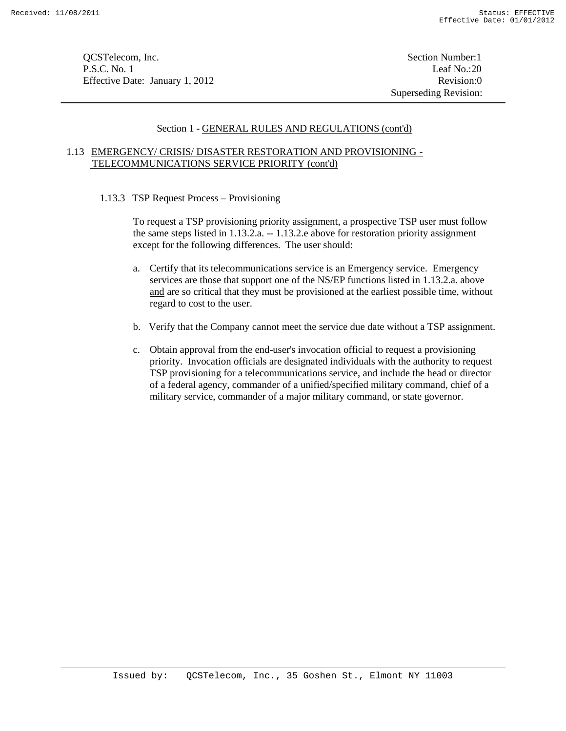**OCSTelecom, Inc.** Section Number:1 P.S.C. No. 1 Leaf No.:20 Effective Date: January 1, 2012 Revision:0

Superseding Revision:

## Section 1 - GENERAL RULES AND REGULATIONS (cont'd)

## 1.13 EMERGENCY/ CRISIS/ DISASTER RESTORATION AND PROVISIONING - TELECOMMUNICATIONS SERVICE PRIORITY (cont'd)

1.13.3 TSP Request Process – Provisioning

To request a TSP provisioning priority assignment, a prospective TSP user must follow the same steps listed in 1.13.2.a. -- 1.13.2.e above for restoration priority assignment except for the following differences. The user should:

- a. Certify that its telecommunications service is an Emergency service. Emergency services are those that support one of the NS/EP functions listed in 1.13.2.a. above and are so critical that they must be provisioned at the earliest possible time, without regard to cost to the user.
- b. Verify that the Company cannot meet the service due date without a TSP assignment.
- c. Obtain approval from the end-user's invocation official to request a provisioning priority. Invocation officials are designated individuals with the authority to request TSP provisioning for a telecommunications service, and include the head or director of a federal agency, commander of a unified/specified military command, chief of a military service, commander of a major military command, or state governor.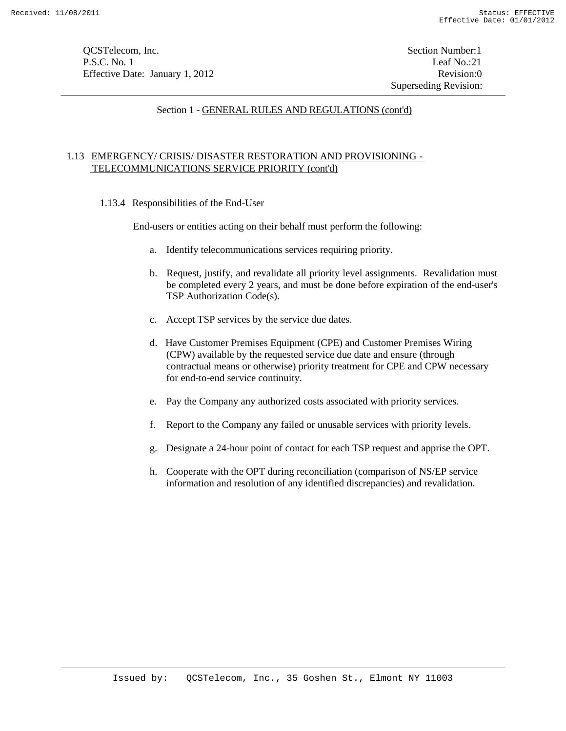**OCSTelecom, Inc.** Section Number: 1 P.S.C. No. 1 Leaf No.:21 Effective Date: January 1, 2012 Revision:0

## Section 1 - GENERAL RULES AND REGULATIONS (cont'd)

## 1.13 EMERGENCY/ CRISIS/ DISASTER RESTORATION AND PROVISIONING - TELECOMMUNICATIONS SERVICE PRIORITY (cont'd)

1.13.4 Responsibilities of the End-User

End-users or entities acting on their behalf must perform the following:

- a. Identify telecommunications services requiring priority.
- b. Request, justify, and revalidate all priority level assignments. Revalidation must be completed every 2 years, and must be done before expiration of the end-user's TSP Authorization Code(s).
- c. Accept TSP services by the service due dates.
- d. Have Customer Premises Equipment (CPE) and Customer Premises Wiring (CPW) available by the requested service due date and ensure (through contractual means or otherwise) priority treatment for CPE and CPW necessary for end-to-end service continuity.
- e. Pay the Company any authorized costs associated with priority services.
- f. Report to the Company any failed or unusable services with priority levels.
- g. Designate a 24-hour point of contact for each TSP request and apprise the OPT.
- h. Cooperate with the OPT during reconciliation (comparison of NS/EP service information and resolution of any identified discrepancies) and revalidation.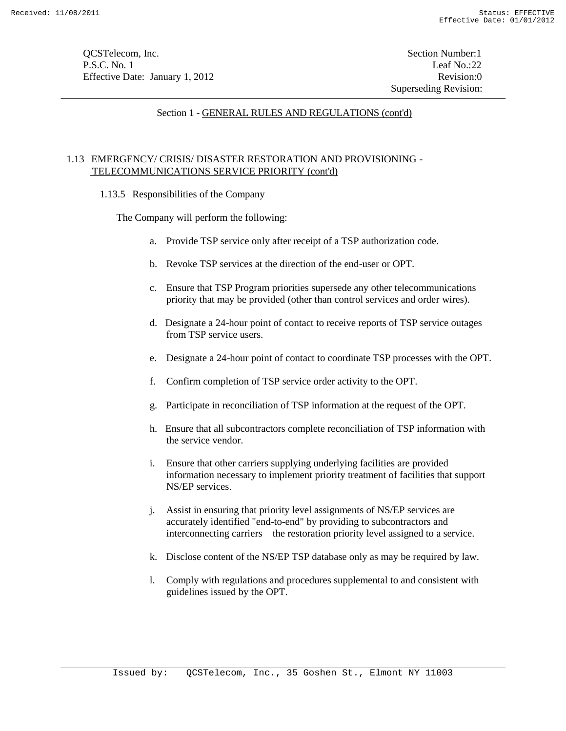**OCSTelecom, Inc.** Section Number:1 P.S.C. No. 1 Leaf No.:22 Effective Date: January 1, 2012 Revision:0

Superseding Revision:

## Section 1 - GENERAL RULES AND REGULATIONS (cont'd)

## 1.13 EMERGENCY/ CRISIS/ DISASTER RESTORATION AND PROVISIONING - TELECOMMUNICATIONS SERVICE PRIORITY (cont'd)

1.13.5 Responsibilities of the Company

The Company will perform the following:

- a. Provide TSP service only after receipt of a TSP authorization code.
- b. Revoke TSP services at the direction of the end-user or OPT.
- c. Ensure that TSP Program priorities supersede any other telecommunications priority that may be provided (other than control services and order wires).
- d. Designate a 24-hour point of contact to receive reports of TSP service outages from TSP service users.
- e. Designate a 24-hour point of contact to coordinate TSP processes with the OPT.
- f. Confirm completion of TSP service order activity to the OPT.
- g. Participate in reconciliation of TSP information at the request of the OPT.
- h. Ensure that all subcontractors complete reconciliation of TSP information with the service vendor.
- i. Ensure that other carriers supplying underlying facilities are provided information necessary to implement priority treatment of facilities that support NS/EP services.
- j. Assist in ensuring that priority level assignments of NS/EP services are accurately identified "end-to-end" by providing to subcontractors and interconnecting carriers the restoration priority level assigned to a service.
- k. Disclose content of the NS/EP TSP database only as may be required by law.
- l. Comply with regulations and procedures supplemental to and consistent with guidelines issued by the OPT.